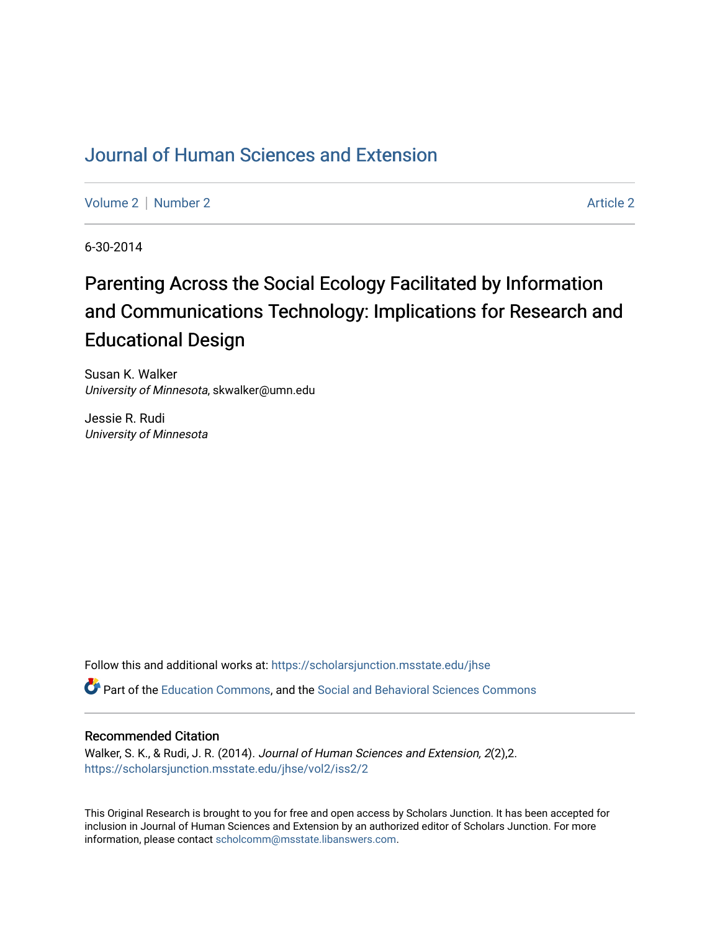## [Journal of Human Sciences and Extension](https://scholarsjunction.msstate.edu/jhse)

[Volume 2](https://scholarsjunction.msstate.edu/jhse/vol2) | [Number 2](https://scholarsjunction.msstate.edu/jhse/vol2/iss2) Article 2

6-30-2014

# Parenting Across the Social Ecology Facilitated by Information and Communications Technology: Implications for Research and Educational Design

Susan K. Walker University of Minnesota, skwalker@umn.edu

Jessie R. Rudi University of Minnesota

Follow this and additional works at: [https://scholarsjunction.msstate.edu/jhse](https://scholarsjunction.msstate.edu/jhse?utm_source=scholarsjunction.msstate.edu%2Fjhse%2Fvol2%2Fiss2%2F2&utm_medium=PDF&utm_campaign=PDFCoverPages)

Part of the [Education Commons](http://network.bepress.com/hgg/discipline/784?utm_source=scholarsjunction.msstate.edu%2Fjhse%2Fvol2%2Fiss2%2F2&utm_medium=PDF&utm_campaign=PDFCoverPages), and the [Social and Behavioral Sciences Commons](http://network.bepress.com/hgg/discipline/316?utm_source=scholarsjunction.msstate.edu%2Fjhse%2Fvol2%2Fiss2%2F2&utm_medium=PDF&utm_campaign=PDFCoverPages) 

### Recommended Citation

Walker, S. K., & Rudi, J. R. (2014). Journal of Human Sciences and Extension, 2(2),2. [https://scholarsjunction.msstate.edu/jhse/vol2/iss2/2](https://scholarsjunction.msstate.edu/jhse/vol2/iss2/2?utm_source=scholarsjunction.msstate.edu%2Fjhse%2Fvol2%2Fiss2%2F2&utm_medium=PDF&utm_campaign=PDFCoverPages)

This Original Research is brought to you for free and open access by Scholars Junction. It has been accepted for inclusion in Journal of Human Sciences and Extension by an authorized editor of Scholars Junction. For more information, please contact [scholcomm@msstate.libanswers.com](mailto:scholcomm@msstate.libanswers.com).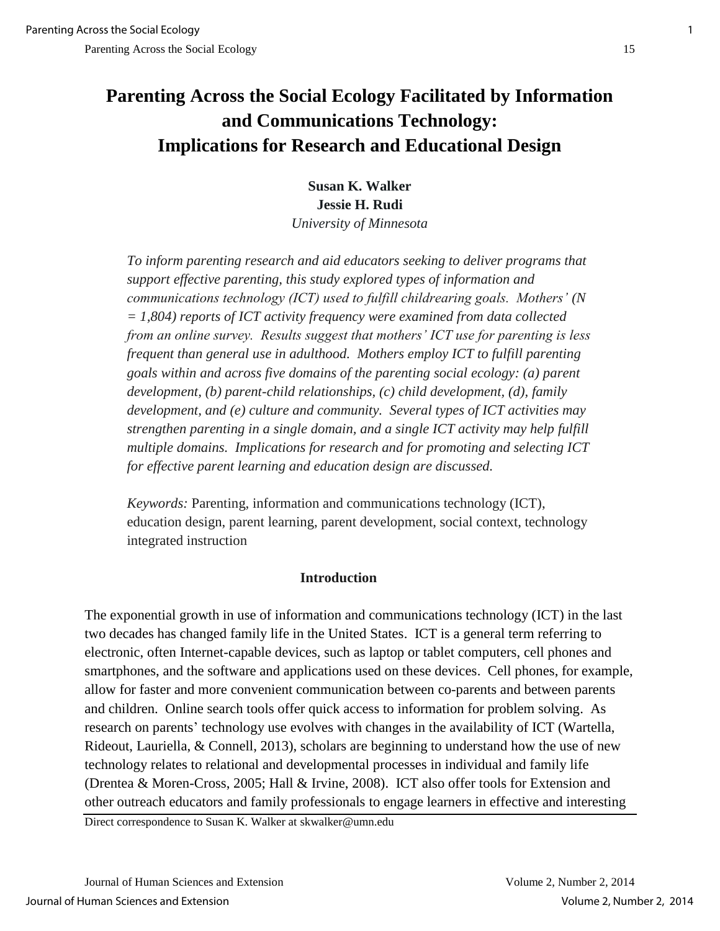## **Parenting Across the Social Ecology Facilitated by Information and Communications Technology: Implications for Research and Educational Design**

**Susan K. Walker Jessie H. Rudi**  *University of Minnesota* 

*To inform parenting research and aid educators seeking to deliver programs that support effective parenting, this study explored types of information and communications technology (ICT) used to fulfill childrearing goals. Mothers' (N = 1,804) reports of ICT activity frequency were examined from data collected from an online survey. Results suggest that mothers' ICT use for parenting is less frequent than general use in adulthood. Mothers employ ICT to fulfill parenting goals within and across five domains of the parenting social ecology: (a) parent development, (b) parent-child relationships, (c) child development, (d), family development, and (e) culture and community. Several types of ICT activities may strengthen parenting in a single domain, and a single ICT activity may help fulfill multiple domains. Implications for research and for promoting and selecting ICT for effective parent learning and education design are discussed.* 

*Keywords:* Parenting, information and communications technology (ICT), education design, parent learning, parent development, social context, technology integrated instruction

## **Introduction**

The exponential growth in use of information and communications technology (ICT) in the last two decades has changed family life in the United States. ICT is a general term referring to electronic, often Internet-capable devices, such as laptop or tablet computers, cell phones and smartphones, and the software and applications used on these devices. Cell phones, for example, allow for faster and more convenient communication between co-parents and between parents and children. Online search tools offer quick access to information for problem solving. As research on parents' technology use evolves with changes in the availability of ICT (Wartella, Rideout, Lauriella, & Connell, 2013), scholars are beginning to understand how the use of new technology relates to relational and developmental processes in individual and family life (Drentea & Moren-Cross, 2005; Hall & Irvine, 2008). ICT also offer tools for Extension and other outreach educators and family professionals to engage learners in effective and interesting

Direct correspondence to Susan K. Walker at skwalker@umn.edu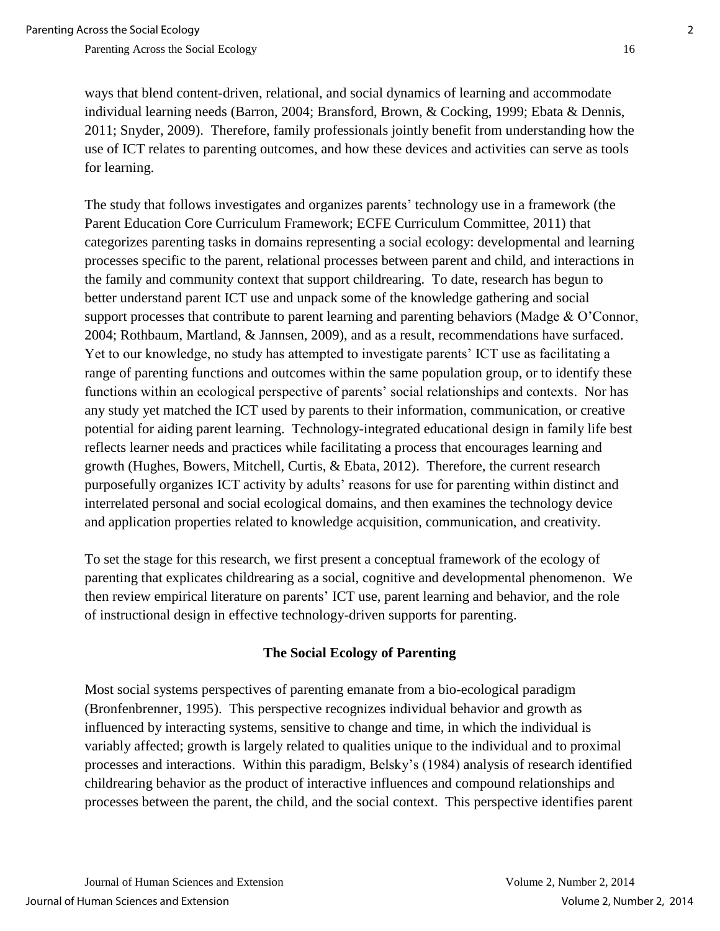ways that blend content-driven, relational, and social dynamics of learning and accommodate individual learning needs (Barron, 2004; Bransford, Brown, & Cocking, 1999; Ebata & Dennis, 2011; Snyder, 2009). Therefore, family professionals jointly benefit from understanding how the use of ICT relates to parenting outcomes, and how these devices and activities can serve as tools for learning.

The study that follows investigates and organizes parents' technology use in a framework (the Parent Education Core Curriculum Framework; ECFE Curriculum Committee, 2011) that categorizes parenting tasks in domains representing a social ecology: developmental and learning processes specific to the parent, relational processes between parent and child, and interactions in the family and community context that support childrearing. To date, research has begun to better understand parent ICT use and unpack some of the knowledge gathering and social support processes that contribute to parent learning and parenting behaviors (Madge & O'Connor, 2004; Rothbaum, Martland, & Jannsen, 2009), and as a result, recommendations have surfaced. Yet to our knowledge, no study has attempted to investigate parents' ICT use as facilitating a range of parenting functions and outcomes within the same population group, or to identify these functions within an ecological perspective of parents' social relationships and contexts. Nor has any study yet matched the ICT used by parents to their information, communication, or creative potential for aiding parent learning. Technology-integrated educational design in family life best reflects learner needs and practices while facilitating a process that encourages learning and growth (Hughes, Bowers, Mitchell, Curtis, & Ebata, 2012). Therefore, the current research purposefully organizes ICT activity by adults' reasons for use for parenting within distinct and interrelated personal and social ecological domains, and then examines the technology device and application properties related to knowledge acquisition, communication, and creativity.

To set the stage for this research, we first present a conceptual framework of the ecology of parenting that explicates childrearing as a social, cognitive and developmental phenomenon. We then review empirical literature on parents' ICT use, parent learning and behavior, and the role of instructional design in effective technology-driven supports for parenting.

## **The Social Ecology of Parenting**

Most social systems perspectives of parenting emanate from a bio-ecological paradigm (Bronfenbrenner, 1995). This perspective recognizes individual behavior and growth as influenced by interacting systems, sensitive to change and time, in which the individual is variably affected; growth is largely related to qualities unique to the individual and to proximal processes and interactions. Within this paradigm, Belsky's (1984) analysis of research identified childrearing behavior as the product of interactive influences and compound relationships and processes between the parent, the child, and the social context. This perspective identifies parent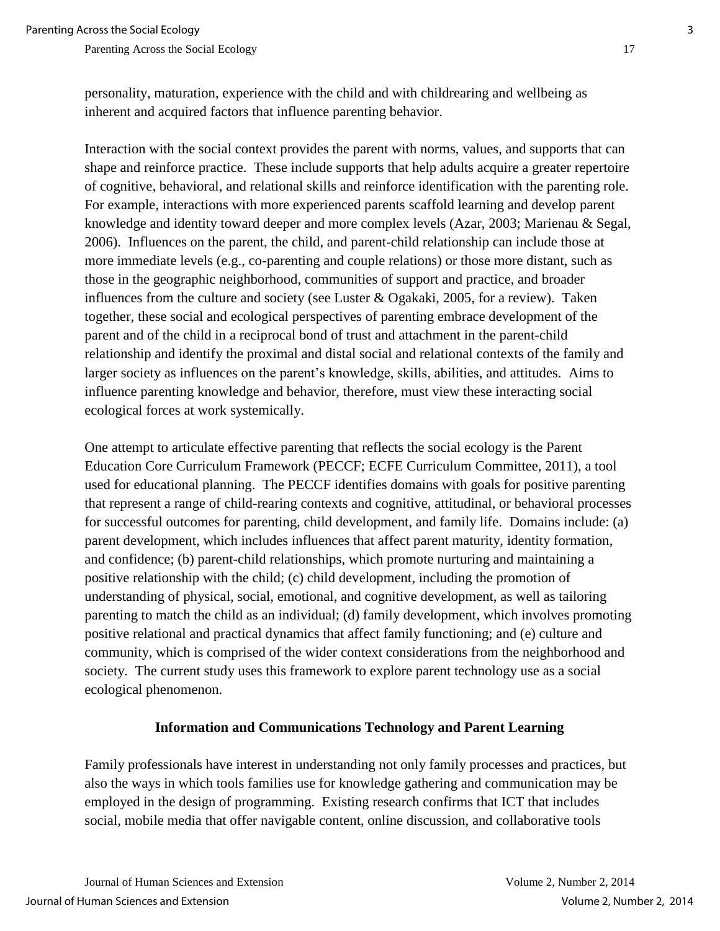personality, maturation, experience with the child and with childrearing and wellbeing as inherent and acquired factors that influence parenting behavior.

Interaction with the social context provides the parent with norms, values, and supports that can shape and reinforce practice. These include supports that help adults acquire a greater repertoire of cognitive, behavioral, and relational skills and reinforce identification with the parenting role. For example, interactions with more experienced parents scaffold learning and develop parent knowledge and identity toward deeper and more complex levels (Azar, 2003; Marienau & Segal, 2006). Influences on the parent, the child, and parent-child relationship can include those at more immediate levels (e.g., co-parenting and couple relations) or those more distant, such as those in the geographic neighborhood, communities of support and practice, and broader influences from the culture and society (see Luster & Ogakaki, 2005, for a review). Taken together, these social and ecological perspectives of parenting embrace development of the parent and of the child in a reciprocal bond of trust and attachment in the parent-child relationship and identify the proximal and distal social and relational contexts of the family and larger society as influences on the parent's knowledge, skills, abilities, and attitudes. Aims to influence parenting knowledge and behavior, therefore, must view these interacting social ecological forces at work systemically.

One attempt to articulate effective parenting that reflects the social ecology is the Parent Education Core Curriculum Framework (PECCF; ECFE Curriculum Committee, 2011), a tool used for educational planning. The PECCF identifies domains with goals for positive parenting that represent a range of child-rearing contexts and cognitive, attitudinal, or behavioral processes for successful outcomes for parenting, child development, and family life. Domains include: (a) parent development, which includes influences that affect parent maturity, identity formation, and confidence; (b) parent-child relationships, which promote nurturing and maintaining a positive relationship with the child; (c) child development, including the promotion of understanding of physical, social, emotional, and cognitive development, as well as tailoring parenting to match the child as an individual; (d) family development, which involves promoting positive relational and practical dynamics that affect family functioning; and (e) culture and community, which is comprised of the wider context considerations from the neighborhood and society. The current study uses this framework to explore parent technology use as a social ecological phenomenon.

## **Information and Communications Technology and Parent Learning**

Family professionals have interest in understanding not only family processes and practices, but also the ways in which tools families use for knowledge gathering and communication may be employed in the design of programming. Existing research confirms that ICT that includes social, mobile media that offer navigable content, online discussion, and collaborative tools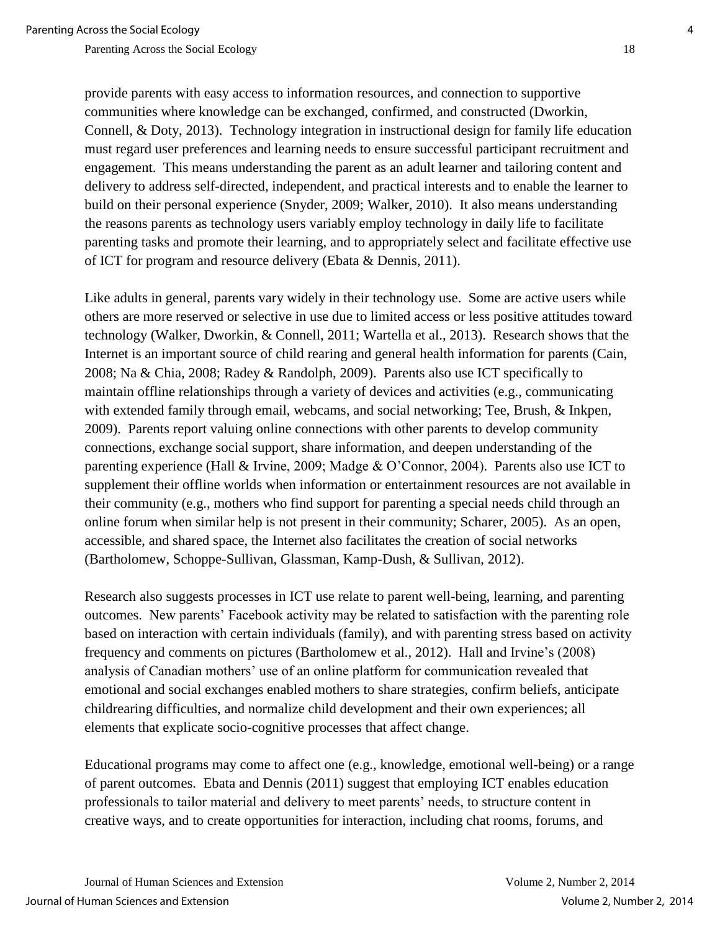provide parents with easy access to information resources, and connection to supportive communities where knowledge can be exchanged, confirmed, and constructed (Dworkin, Connell, & Doty, 2013). Technology integration in instructional design for family life education must regard user preferences and learning needs to ensure successful participant recruitment and engagement. This means understanding the parent as an adult learner and tailoring content and delivery to address self-directed, independent, and practical interests and to enable the learner to build on their personal experience (Snyder, 2009; Walker, 2010). It also means understanding the reasons parents as technology users variably employ technology in daily life to facilitate parenting tasks and promote their learning, and to appropriately select and facilitate effective use of ICT for program and resource delivery (Ebata & Dennis, 2011).

Like adults in general, parents vary widely in their technology use. Some are active users while others are more reserved or selective in use due to limited access or less positive attitudes toward technology (Walker, Dworkin, & Connell, 2011; Wartella et al., 2013). Research shows that the Internet is an important source of child rearing and general health information for parents (Cain, 2008; Na & Chia, 2008; Radey & Randolph, 2009). Parents also use ICT specifically to maintain offline relationships through a variety of devices and activities (e.g., communicating with extended family through email, webcams, and social networking; Tee, Brush, & Inkpen, 2009). Parents report valuing online connections with other parents to develop community connections, exchange social support, share information, and deepen understanding of the parenting experience (Hall & Irvine, 2009; Madge & O'Connor, 2004). Parents also use ICT to supplement their offline worlds when information or entertainment resources are not available in their community (e.g., mothers who find support for parenting a special needs child through an online forum when similar help is not present in their community; Scharer, 2005). As an open, accessible, and shared space, the Internet also facilitates the creation of social networks (Bartholomew, Schoppe-Sullivan, Glassman, Kamp-Dush, & Sullivan, 2012).

Research also suggests processes in ICT use relate to parent well-being, learning, and parenting outcomes. New parents' Facebook activity may be related to satisfaction with the parenting role based on interaction with certain individuals (family), and with parenting stress based on activity frequency and comments on pictures (Bartholomew et al., 2012). Hall and Irvine's (2008) analysis of Canadian mothers' use of an online platform for communication revealed that emotional and social exchanges enabled mothers to share strategies, confirm beliefs, anticipate childrearing difficulties, and normalize child development and their own experiences; all elements that explicate socio-cognitive processes that affect change.

Educational programs may come to affect one (e.g., knowledge, emotional well-being) or a range of parent outcomes. Ebata and Dennis (2011) suggest that employing ICT enables education professionals to tailor material and delivery to meet parents' needs, to structure content in creative ways, and to create opportunities for interaction, including chat rooms, forums, and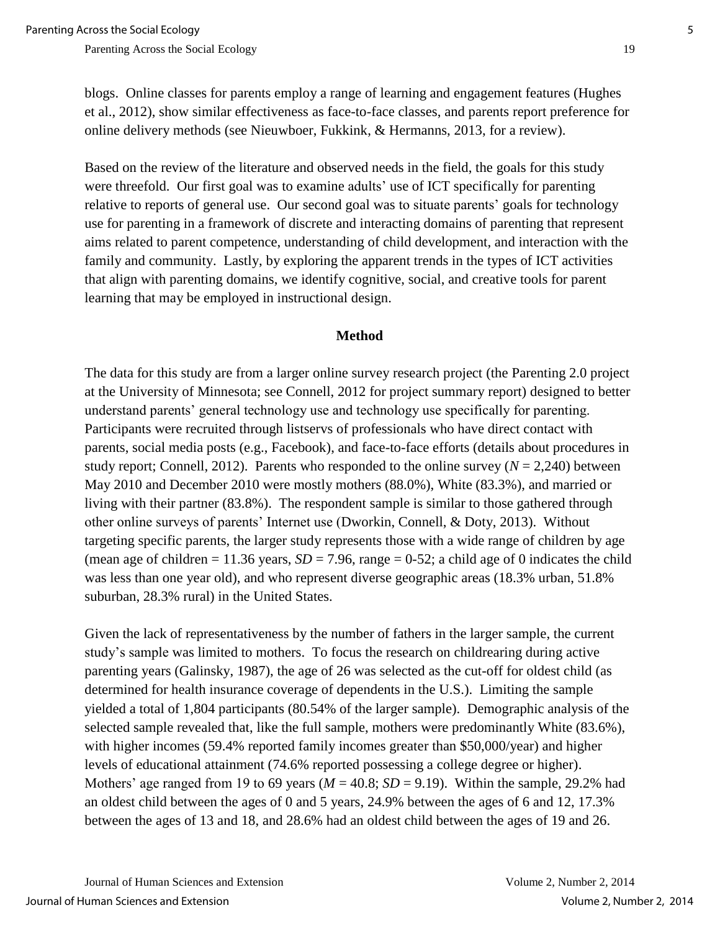blogs. Online classes for parents employ a range of learning and engagement features (Hughes et al., 2012), show similar effectiveness as face-to-face classes, and parents report preference for online delivery methods (see Nieuwboer, Fukkink, & Hermanns, 2013, for a review).

Based on the review of the literature and observed needs in the field, the goals for this study were threefold. Our first goal was to examine adults' use of ICT specifically for parenting relative to reports of general use. Our second goal was to situate parents' goals for technology use for parenting in a framework of discrete and interacting domains of parenting that represent aims related to parent competence, understanding of child development, and interaction with the family and community. Lastly, by exploring the apparent trends in the types of ICT activities that align with parenting domains, we identify cognitive, social, and creative tools for parent learning that may be employed in instructional design.

#### **Method**

The data for this study are from a larger online survey research project (the Parenting 2.0 project at the University of Minnesota; see Connell, 2012 for project summary report) designed to better understand parents' general technology use and technology use specifically for parenting. Participants were recruited through listservs of professionals who have direct contact with parents, social media posts (e.g., Facebook), and face-to-face efforts (details about procedures in study report; Connell, 2012). Parents who responded to the online survey  $(N = 2,240)$  between May 2010 and December 2010 were mostly mothers (88.0%), White (83.3%), and married or living with their partner (83.8%). The respondent sample is similar to those gathered through other online surveys of parents' Internet use (Dworkin, Connell, & Doty, 2013). Without targeting specific parents, the larger study represents those with a wide range of children by age (mean age of children  $= 11.36$  years,  $SD = 7.96$ , range  $= 0.52$ ; a child age of 0 indicates the child was less than one year old), and who represent diverse geographic areas (18.3% urban, 51.8% suburban, 28.3% rural) in the United States.

Given the lack of representativeness by the number of fathers in the larger sample, the current study's sample was limited to mothers. To focus the research on childrearing during active parenting years (Galinsky, 1987), the age of 26 was selected as the cut-off for oldest child (as determined for health insurance coverage of dependents in the U.S.). Limiting the sample yielded a total of 1,804 participants (80.54% of the larger sample). Demographic analysis of the selected sample revealed that, like the full sample, mothers were predominantly White (83.6%), with higher incomes (59.4% reported family incomes greater than \$50,000/year) and higher levels of educational attainment (74.6% reported possessing a college degree or higher). Mothers' age ranged from 19 to 69 years ( $M = 40.8$ ;  $SD = 9.19$ ). Within the sample, 29.2% had an oldest child between the ages of 0 and 5 years, 24.9% between the ages of 6 and 12, 17.3% between the ages of 13 and 18, and 28.6% had an oldest child between the ages of 19 and 26.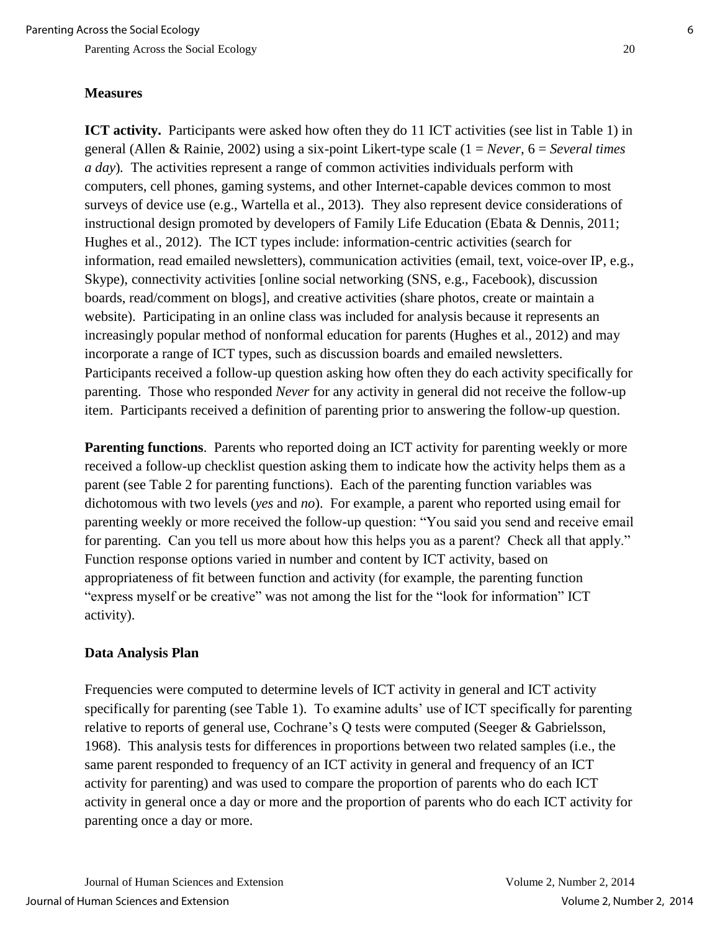#### **Measures**

**ICT activity.** Participants were asked how often they do 11 ICT activities (see list in Table 1) in general (Allen & Rainie, 2002) using a six-point Likert-type scale (1 = *Never,* 6 = *Several times a day*)*.* The activities represent a range of common activities individuals perform with computers, cell phones, gaming systems, and other Internet-capable devices common to most surveys of device use (e.g., Wartella et al., 2013). They also represent device considerations of instructional design promoted by developers of Family Life Education (Ebata & Dennis, 2011; Hughes et al., 2012). The ICT types include: information-centric activities (search for information, read emailed newsletters), communication activities (email, text, voice-over IP, e.g., Skype), connectivity activities [online social networking (SNS, e.g., Facebook), discussion boards, read/comment on blogs], and creative activities (share photos, create or maintain a website). Participating in an online class was included for analysis because it represents an increasingly popular method of nonformal education for parents (Hughes et al., 2012) and may incorporate a range of ICT types, such as discussion boards and emailed newsletters. Participants received a follow-up question asking how often they do each activity specifically for parenting. Those who responded *Never* for any activity in general did not receive the follow-up item. Participants received a definition of parenting prior to answering the follow-up question.

**Parenting functions**. Parents who reported doing an ICT activity for parenting weekly or more received a follow-up checklist question asking them to indicate how the activity helps them as a parent (see Table 2 for parenting functions). Each of the parenting function variables was dichotomous with two levels (*yes* and *no*). For example, a parent who reported using email for parenting weekly or more received the follow-up question: "You said you send and receive email for parenting. Can you tell us more about how this helps you as a parent? Check all that apply." Function response options varied in number and content by ICT activity, based on appropriateness of fit between function and activity (for example, the parenting function "express myself or be creative" was not among the list for the "look for information" ICT activity).

## **Data Analysis Plan**

Frequencies were computed to determine levels of ICT activity in general and ICT activity specifically for parenting (see Table 1). To examine adults' use of ICT specifically for parenting relative to reports of general use, Cochrane's Q tests were computed (Seeger & Gabrielsson, 1968). This analysis tests for differences in proportions between two related samples (i.e., the same parent responded to frequency of an ICT activity in general and frequency of an ICT activity for parenting) and was used to compare the proportion of parents who do each ICT activity in general once a day or more and the proportion of parents who do each ICT activity for parenting once a day or more.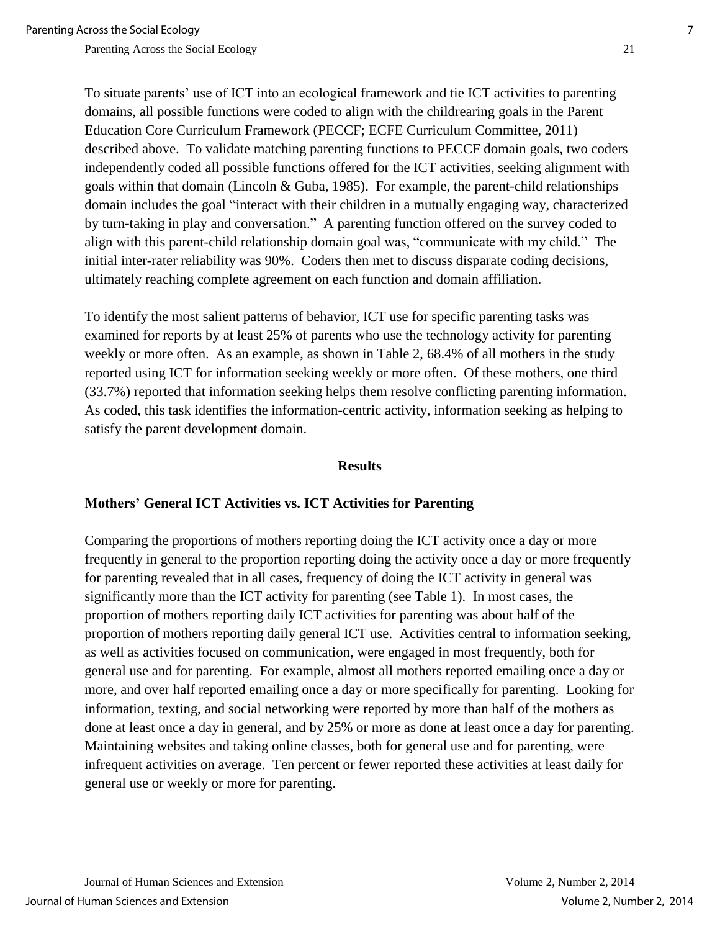To situate parents' use of ICT into an ecological framework and tie ICT activities to parenting domains, all possible functions were coded to align with the childrearing goals in the Parent Education Core Curriculum Framework (PECCF; ECFE Curriculum Committee, 2011) described above. To validate matching parenting functions to PECCF domain goals, two coders independently coded all possible functions offered for the ICT activities, seeking alignment with goals within that domain (Lincoln & Guba, 1985). For example, the parent-child relationships domain includes the goal "interact with their children in a mutually engaging way, characterized by turn-taking in play and conversation." A parenting function offered on the survey coded to align with this parent-child relationship domain goal was, "communicate with my child." The initial inter-rater reliability was 90%. Coders then met to discuss disparate coding decisions, ultimately reaching complete agreement on each function and domain affiliation.

To identify the most salient patterns of behavior, ICT use for specific parenting tasks was examined for reports by at least 25% of parents who use the technology activity for parenting weekly or more often. As an example, as shown in Table 2, 68.4% of all mothers in the study reported using ICT for information seeking weekly or more often. Of these mothers, one third (33.7%) reported that information seeking helps them resolve conflicting parenting information. As coded, this task identifies the information-centric activity, information seeking as helping to satisfy the parent development domain.

#### **Results**

#### **Mothers' General ICT Activities vs. ICT Activities for Parenting**

Comparing the proportions of mothers reporting doing the ICT activity once a day or more frequently in general to the proportion reporting doing the activity once a day or more frequently for parenting revealed that in all cases, frequency of doing the ICT activity in general was significantly more than the ICT activity for parenting (see Table 1). In most cases, the proportion of mothers reporting daily ICT activities for parenting was about half of the proportion of mothers reporting daily general ICT use. Activities central to information seeking, as well as activities focused on communication, were engaged in most frequently, both for general use and for parenting. For example, almost all mothers reported emailing once a day or more, and over half reported emailing once a day or more specifically for parenting. Looking for information, texting, and social networking were reported by more than half of the mothers as done at least once a day in general, and by 25% or more as done at least once a day for parenting. Maintaining websites and taking online classes, both for general use and for parenting, were infrequent activities on average. Ten percent or fewer reported these activities at least daily for general use or weekly or more for parenting.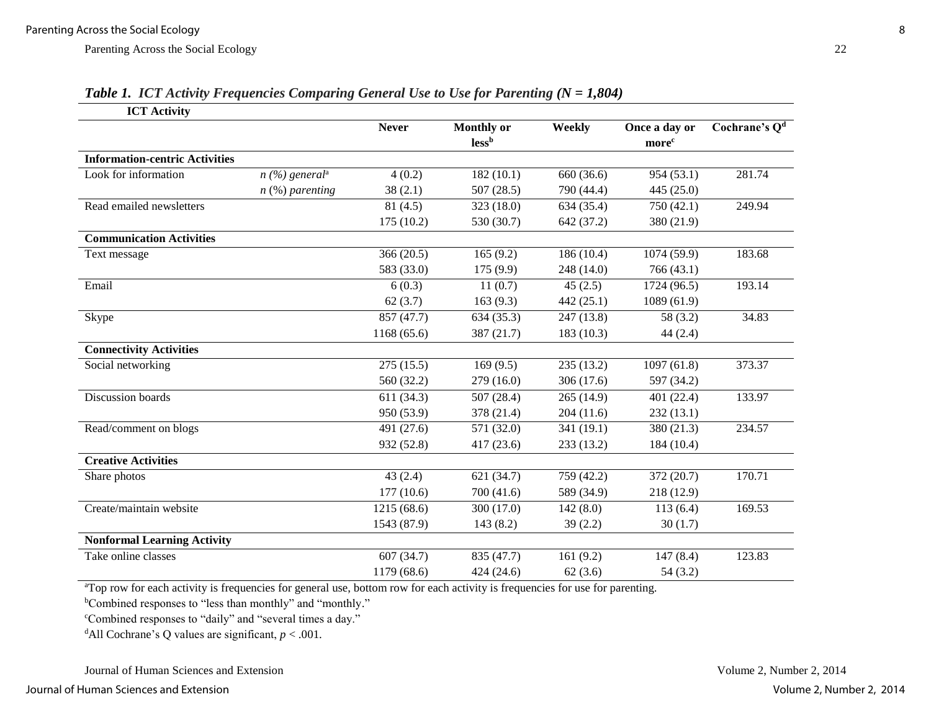| <b>ICT Activity</b>                   |                              |              |                            |            |                                    |                 |
|---------------------------------------|------------------------------|--------------|----------------------------|------------|------------------------------------|-----------------|
|                                       |                              | <b>Never</b> | <b>Monthly or</b><br>lessb | Weekly     | Once a day or<br>more <sup>c</sup> | Cochrane's $Qd$ |
| <b>Information-centric Activities</b> |                              |              |                            |            |                                    |                 |
| Look for information                  | $n$ (%) general <sup>a</sup> | 4(0.2)       | 182(10.1)                  | 660 (36.6) | 954 (53.1)                         | 281.74          |
|                                       | $n$ (%) parenting            | 38(2.1)      | 507(28.5)                  | 790 (44.4) | 445(25.0)                          |                 |
| Read emailed newsletters              |                              | 81(4.5)      | 323 (18.0)                 | 634 (35.4) | 750 (42.1)                         | 249.94          |
|                                       |                              | 175(10.2)    | 530 (30.7)                 | 642 (37.2) | 380 (21.9)                         |                 |
| <b>Communication Activities</b>       |                              |              |                            |            |                                    |                 |
| Text message                          |                              | 366(20.5)    | 165(9.2)                   | 186(10.4)  | 1074 (59.9)                        | 183.68          |
|                                       |                              | 583 (33.0)   | 175 (9.9)                  | 248 (14.0) | 766 (43.1)                         |                 |
| Email                                 |                              | 6(0.3)       | 11(0.7)                    | 45(2.5)    | 1724 (96.5)                        | 193.14          |
|                                       |                              | 62(3.7)      | 163(9.3)                   | 442 (25.1) | 1089 (61.9)                        |                 |
| Skype                                 |                              | 857 (47.7)   | 634(35.3)                  | 247 (13.8) | 58 (3.2)                           | 34.83           |
|                                       |                              | 1168(65.6)   | 387 (21.7)                 | 183 (10.3) | 44(2.4)                            |                 |
| <b>Connectivity Activities</b>        |                              |              |                            |            |                                    |                 |
| Social networking                     |                              | 275(15.5)    | 169(9.5)                   | 235 (13.2) | 1097(61.8)                         | 373.37          |
|                                       |                              | 560 (32.2)   | 279(16.0)                  | 306(17.6)  | 597 (34.2)                         |                 |
| Discussion boards                     |                              | 611(34.3)    | 507(28.4)                  | 265(14.9)  | 401 (22.4)                         | 133.97          |
|                                       |                              | 950 (53.9)   | 378 (21.4)                 | 204(11.6)  | 232(13.1)                          |                 |
| Read/comment on blogs                 |                              | 491 (27.6)   | 571 (32.0)                 | 341 (19.1) | 380 (21.3)                         | 234.57          |
|                                       |                              | 932 (52.8)   | 417(23.6)                  | 233 (13.2) | 184 (10.4)                         |                 |
| <b>Creative Activities</b>            |                              |              |                            |            |                                    |                 |
| Share photos                          |                              | 43(2.4)      | 621(34.7)                  | 759 (42.2) | 372 (20.7)                         | 170.71          |
|                                       |                              | 177(10.6)    | 700 (41.6)                 | 589 (34.9) | 218 (12.9)                         |                 |
| Create/maintain website               |                              | 1215(68.6)   | 300 (17.0)                 | 142(8.0)   | 113(6.4)                           | 169.53          |
|                                       |                              | 1543 (87.9)  | 143(8.2)                   | 39(2.2)    | 30(1.7)                            |                 |
| <b>Nonformal Learning Activity</b>    |                              |              |                            |            |                                    |                 |
| Take online classes                   |                              | 607(34.7)    | 835 (47.7)                 | 161(9.2)   | 147(8.4)                           | 123.83          |
|                                       |                              | 1179 (68.6)  | 424 (24.6)                 | 62(3.6)    | 54(3.2)                            |                 |

*Table 1. ICT Activity Frequencies Comparing General Use to Use for Parenting (N = 1,804)*

<sup>a</sup>Top row for each activity is frequencies for general use, bottom row for each activity is frequencies for use for parenting.

<sup>b</sup>Combined responses to "less than monthly" and "monthly."

<sup>c</sup>Combined responses to "daily" and "several times a day."

<sup>d</sup>All Cochrane's Q values are significant,  $p < .001$ .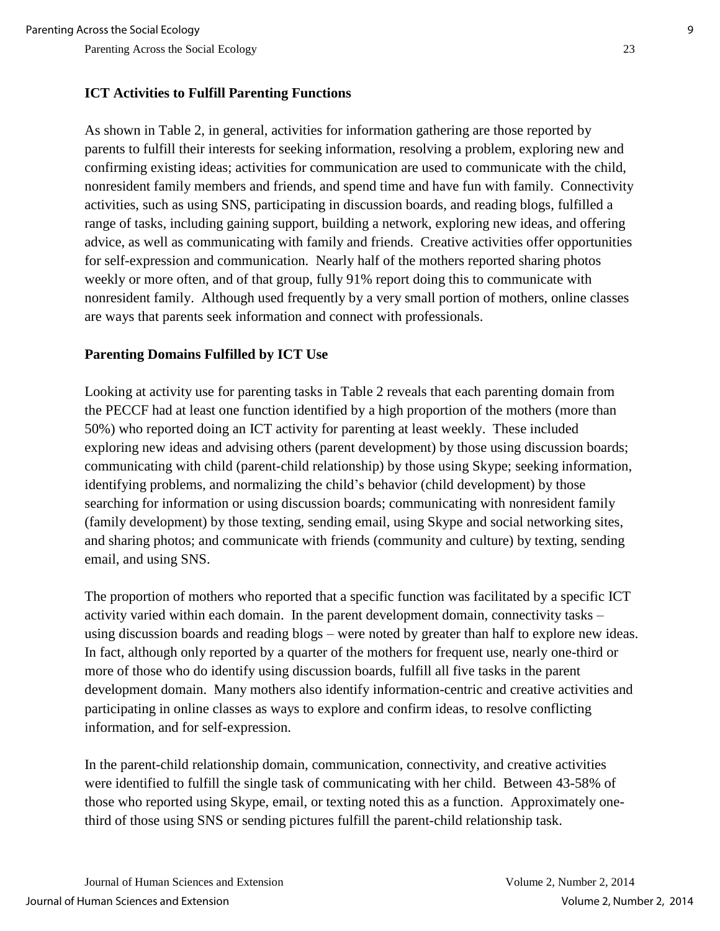## **ICT Activities to Fulfill Parenting Functions**

As shown in Table 2, in general, activities for information gathering are those reported by parents to fulfill their interests for seeking information, resolving a problem, exploring new and confirming existing ideas; activities for communication are used to communicate with the child, nonresident family members and friends, and spend time and have fun with family. Connectivity activities, such as using SNS, participating in discussion boards, and reading blogs, fulfilled a range of tasks, including gaining support, building a network, exploring new ideas, and offering advice, as well as communicating with family and friends. Creative activities offer opportunities for self-expression and communication. Nearly half of the mothers reported sharing photos weekly or more often, and of that group, fully 91% report doing this to communicate with nonresident family. Although used frequently by a very small portion of mothers, online classes are ways that parents seek information and connect with professionals.

## **Parenting Domains Fulfilled by ICT Use**

Looking at activity use for parenting tasks in Table 2 reveals that each parenting domain from the PECCF had at least one function identified by a high proportion of the mothers (more than 50%) who reported doing an ICT activity for parenting at least weekly. These included exploring new ideas and advising others (parent development) by those using discussion boards; communicating with child (parent-child relationship) by those using Skype; seeking information, identifying problems, and normalizing the child's behavior (child development) by those searching for information or using discussion boards; communicating with nonresident family (family development) by those texting, sending email, using Skype and social networking sites, and sharing photos; and communicate with friends (community and culture) by texting, sending email, and using SNS.

The proportion of mothers who reported that a specific function was facilitated by a specific ICT activity varied within each domain. In the parent development domain, connectivity tasks – using discussion boards and reading blogs – were noted by greater than half to explore new ideas. In fact, although only reported by a quarter of the mothers for frequent use, nearly one-third or more of those who do identify using discussion boards, fulfill all five tasks in the parent development domain. Many mothers also identify information-centric and creative activities and participating in online classes as ways to explore and confirm ideas, to resolve conflicting information, and for self-expression.

In the parent-child relationship domain, communication, connectivity, and creative activities were identified to fulfill the single task of communicating with her child. Between 43-58% of those who reported using Skype, email, or texting noted this as a function. Approximately onethird of those using SNS or sending pictures fulfill the parent-child relationship task.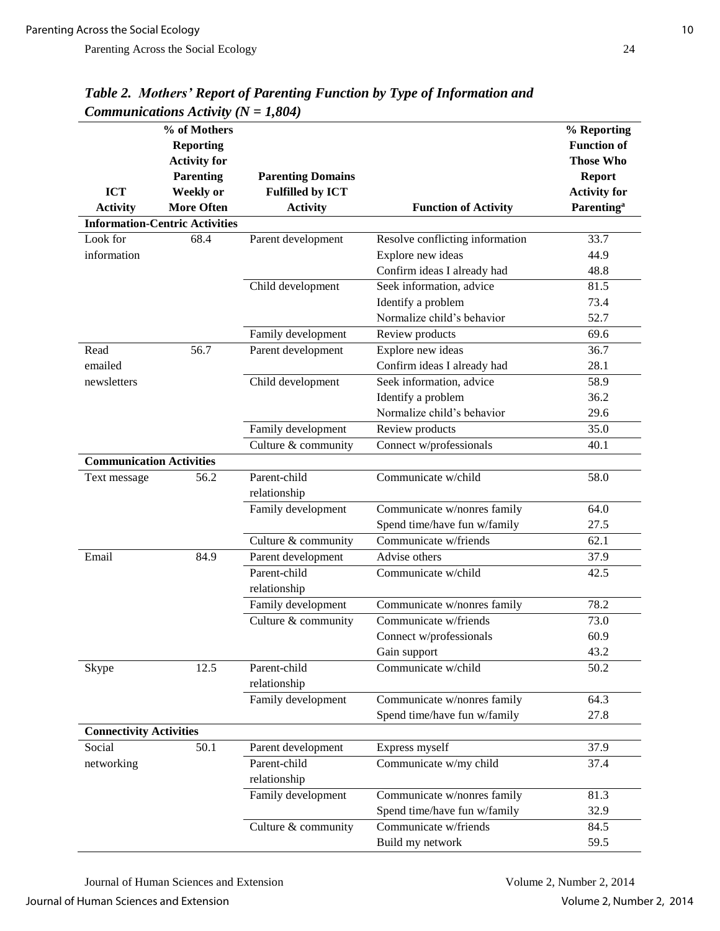|                                 | % of Mothers<br><b>Reporting</b><br><b>Activity for</b> |                                                     |                                 | % Reporting<br><b>Function of</b><br><b>Those Who</b><br><b>Report</b><br><b>Activity for</b><br><b>Parenting</b> <sup>a</sup> |
|---------------------------------|---------------------------------------------------------|-----------------------------------------------------|---------------------------------|--------------------------------------------------------------------------------------------------------------------------------|
| <b>ICT</b>                      | <b>Parenting</b><br><b>Weekly</b> or                    | <b>Parenting Domains</b><br><b>Fulfilled by ICT</b> |                                 |                                                                                                                                |
| <b>Activity</b>                 | <b>More Often</b>                                       | <b>Activity</b>                                     | <b>Function of Activity</b>     |                                                                                                                                |
|                                 | <b>Information-Centric Activities</b>                   |                                                     |                                 |                                                                                                                                |
| Look for                        | 68.4                                                    | Parent development                                  | Resolve conflicting information | 33.7                                                                                                                           |
| information                     |                                                         |                                                     | Explore new ideas               | 44.9                                                                                                                           |
|                                 |                                                         |                                                     | Confirm ideas I already had     | 48.8                                                                                                                           |
|                                 |                                                         | Child development                                   | Seek information, advice        | 81.5                                                                                                                           |
|                                 |                                                         |                                                     | Identify a problem              | 73.4                                                                                                                           |
|                                 |                                                         |                                                     | Normalize child's behavior      | 52.7                                                                                                                           |
|                                 |                                                         | Family development                                  | Review products                 | 69.6                                                                                                                           |
| Read                            | 56.7                                                    | Parent development                                  | Explore new ideas               | 36.7                                                                                                                           |
| emailed                         |                                                         |                                                     | Confirm ideas I already had     | 28.1                                                                                                                           |
| newsletters                     |                                                         | Child development                                   | Seek information, advice        | 58.9                                                                                                                           |
|                                 |                                                         |                                                     | Identify a problem              | 36.2                                                                                                                           |
|                                 |                                                         |                                                     | Normalize child's behavior      | 29.6                                                                                                                           |
|                                 |                                                         | Family development                                  | Review products                 | 35.0                                                                                                                           |
|                                 |                                                         | Culture & community                                 | Connect w/professionals         | 40.1                                                                                                                           |
| <b>Communication Activities</b> |                                                         |                                                     |                                 |                                                                                                                                |
| Text message                    | 56.2                                                    | Parent-child                                        | Communicate w/child             | 58.0                                                                                                                           |
|                                 |                                                         | relationship                                        |                                 |                                                                                                                                |
|                                 |                                                         | Family development                                  | Communicate w/nonres family     | 64.0                                                                                                                           |
|                                 |                                                         |                                                     | Spend time/have fun w/family    | 27.5                                                                                                                           |
|                                 |                                                         | Culture & community                                 | Communicate w/friends           | 62.1                                                                                                                           |
| Email                           | 84.9                                                    | Parent development                                  | Advise others                   | 37.9                                                                                                                           |
|                                 |                                                         | Parent-child<br>relationship                        | Communicate w/child             | 42.5                                                                                                                           |
|                                 |                                                         | Family development                                  | Communicate w/nonres family     | 78.2                                                                                                                           |
|                                 |                                                         | Culture & community                                 | Communicate w/friends           | 73.0                                                                                                                           |
|                                 |                                                         |                                                     | Connect w/professionals         | 60.9                                                                                                                           |
|                                 |                                                         |                                                     | Gain support                    | 43.2                                                                                                                           |
| Skype                           | 12.5                                                    | Parent-child<br>relationship                        | Communicate w/child             | 50.2                                                                                                                           |
|                                 |                                                         | Family development                                  | Communicate w/nonres family     | 64.3                                                                                                                           |
|                                 |                                                         |                                                     | Spend time/have fun w/family    | 27.8                                                                                                                           |
| <b>Connectivity Activities</b>  |                                                         |                                                     |                                 |                                                                                                                                |
| Social                          | 50.1                                                    | Parent development                                  | Express myself                  | 37.9                                                                                                                           |
| networking                      |                                                         | Parent-child<br>relationship                        | Communicate w/my child          | 37.4                                                                                                                           |
|                                 |                                                         | Family development                                  | Communicate w/nonres family     | 81.3                                                                                                                           |
|                                 |                                                         |                                                     | Spend time/have fun w/family    | 32.9                                                                                                                           |
|                                 |                                                         | Culture & community                                 | Communicate w/friends           | 84.5                                                                                                                           |
|                                 |                                                         |                                                     | Build my network                | 59.5                                                                                                                           |

*Table 2. Mothers' Report of Parenting Function by Type of Information and*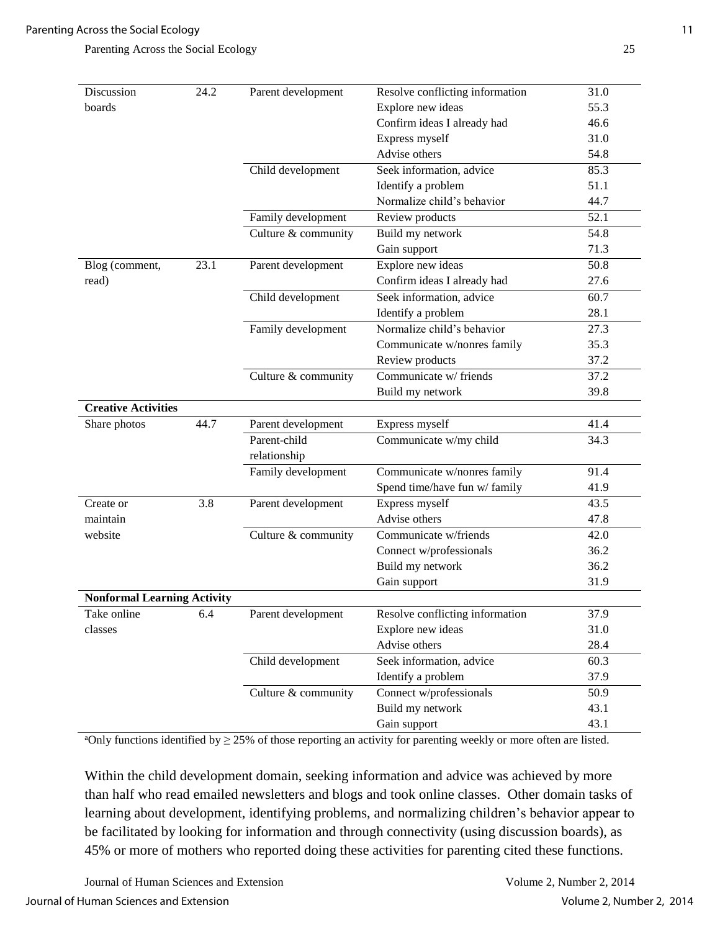| Discussion<br>24.2                 |      | Parent development  | Resolve conflicting information | 31.0 |
|------------------------------------|------|---------------------|---------------------------------|------|
| boards                             |      |                     | Explore new ideas               | 55.3 |
|                                    |      |                     | Confirm ideas I already had     | 46.6 |
|                                    |      |                     | Express myself                  | 31.0 |
|                                    |      |                     | Advise others                   | 54.8 |
|                                    |      | Child development   | Seek information, advice        | 85.3 |
|                                    |      |                     | Identify a problem              | 51.1 |
|                                    |      |                     | Normalize child's behavior      | 44.7 |
|                                    |      | Family development  | Review products                 | 52.1 |
|                                    |      | Culture & community | Build my network                | 54.8 |
|                                    |      |                     | Gain support                    | 71.3 |
| Blog (comment,                     | 23.1 | Parent development  | Explore new ideas               | 50.8 |
| read)                              |      |                     | Confirm ideas I already had     | 27.6 |
|                                    |      | Child development   | Seek information, advice        | 60.7 |
|                                    |      |                     | Identify a problem              | 28.1 |
|                                    |      | Family development  | Normalize child's behavior      | 27.3 |
|                                    |      |                     | Communicate w/nonres family     | 35.3 |
|                                    |      |                     | Review products                 | 37.2 |
|                                    |      | Culture & community | Communicate w/ friends          | 37.2 |
|                                    |      |                     | Build my network                | 39.8 |
| <b>Creative Activities</b>         |      |                     |                                 |      |
| Share photos                       | 44.7 | Parent development  | Express myself                  | 41.4 |
|                                    |      | Parent-child        | Communicate w/my child          | 34.3 |
|                                    |      | relationship        |                                 |      |
|                                    |      | Family development  | Communicate w/nonres family     | 91.4 |
|                                    |      |                     | Spend time/have fun w/ family   | 41.9 |
| Create or                          | 3.8  | Parent development  | Express myself                  | 43.5 |
| maintain                           |      |                     | Advise others                   | 47.8 |
| website                            |      | Culture & community | Communicate w/friends           | 42.0 |
|                                    |      |                     | Connect w/professionals         | 36.2 |
|                                    |      |                     | Build my network                | 36.2 |
|                                    |      |                     | Gain support                    | 31.9 |
| <b>Nonformal Learning Activity</b> |      |                     |                                 |      |
| Take online                        | 6.4  | Parent development  | Resolve conflicting information | 37.9 |
| classes                            |      |                     | Explore new ideas               | 31.0 |
|                                    |      |                     | Advise others                   | 28.4 |
|                                    |      | Child development   | Seek information, advice        | 60.3 |
|                                    |      |                     | Identify a problem              | 37.9 |
|                                    |      | Culture & community | Connect w/professionals         | 50.9 |
|                                    |      |                     | Build my network                | 43.1 |
|                                    |      |                     | Gain support                    | 43.1 |

aOnly functions identified by  $\geq$  25% of those reporting an activity for parenting weekly or more often are listed.

Within the child development domain, seeking information and advice was achieved by more than half who read emailed newsletters and blogs and took online classes. Other domain tasks of learning about development, identifying problems, and normalizing children's behavior appear to be facilitated by looking for information and through connectivity (using discussion boards), as 45% or more of mothers who reported doing these activities for parenting cited these functions.

Journal of Human Sciences and Extension Volume 2, Number 2, 2014

Journal of Human Sciences and Extension Volume 2, Number 2, 2014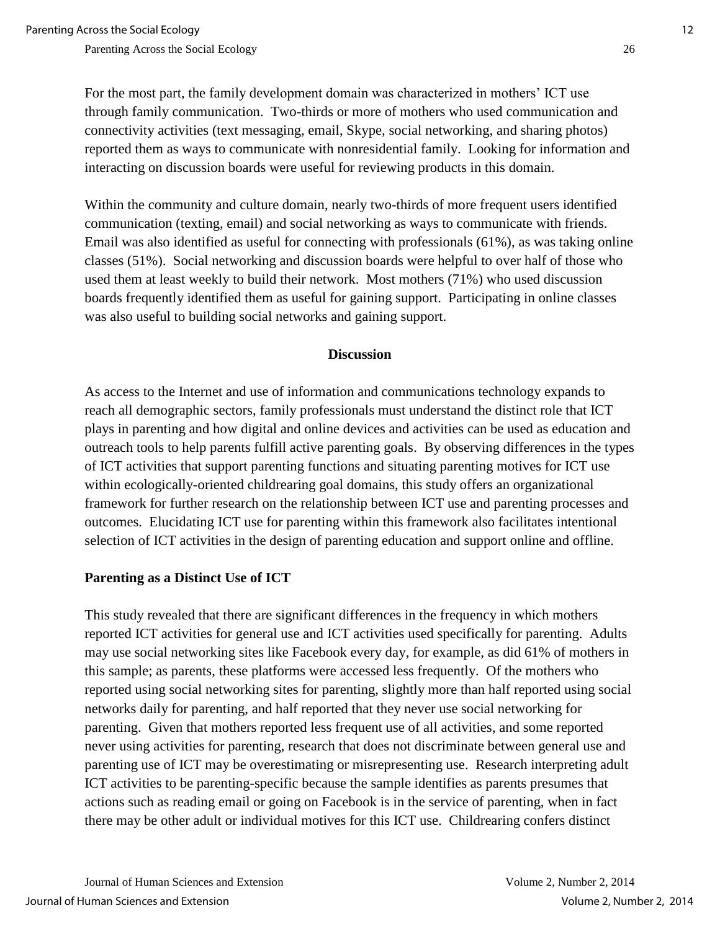For the most part, the family development domain was characterized in mothers' ICT use through family communication. Two-thirds or more of mothers who used communication and connectivity activities (text messaging, email, Skype, social networking, and sharing photos) reported them as ways to communicate with nonresidential family. Looking for information and interacting on discussion boards were useful for reviewing products in this domain.

Within the community and culture domain, nearly two-thirds of more frequent users identified communication (texting, email) and social networking as ways to communicate with friends. Email was also identified as useful for connecting with professionals (61%), as was taking online classes (51%). Social networking and discussion boards were helpful to over half of those who used them at least weekly to build their network. Most mothers (71%) who used discussion boards frequently identified them as useful for gaining support. Participating in online classes was also useful to building social networks and gaining support.

### **Discussion**

As access to the Internet and use of information and communications technology expands to reach all demographic sectors, family professionals must understand the distinct role that ICT plays in parenting and how digital and online devices and activities can be used as education and outreach tools to help parents fulfill active parenting goals. By observing differences in the types of ICT activities that support parenting functions and situating parenting motives for ICT use within ecologically-oriented childrearing goal domains, this study offers an organizational framework for further research on the relationship between ICT use and parenting processes and outcomes. Elucidating ICT use for parenting within this framework also facilitates intentional selection of ICT activities in the design of parenting education and support online and offline.

## **Parenting as a Distinct Use of ICT**

This study revealed that there are significant differences in the frequency in which mothers reported ICT activities for general use and ICT activities used specifically for parenting. Adults may use social networking sites like Facebook every day, for example, as did 61% of mothers in this sample; as parents, these platforms were accessed less frequently. Of the mothers who reported using social networking sites for parenting, slightly more than half reported using social networks daily for parenting, and half reported that they never use social networking for parenting. Given that mothers reported less frequent use of all activities, and some reported never using activities for parenting, research that does not discriminate between general use and parenting use of ICT may be overestimating or misrepresenting use. Research interpreting adult ICT activities to be parenting-specific because the sample identifies as parents presumes that actions such as reading email or going on Facebook is in the service of parenting, when in fact there may be other adult or individual motives for this ICT use. Childrearing confers distinct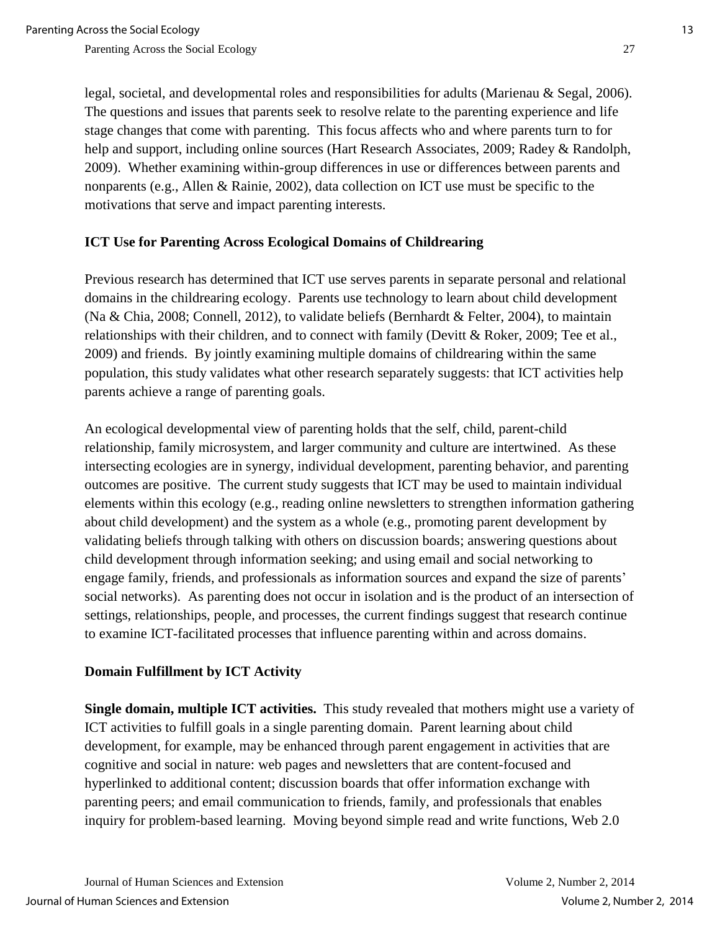legal, societal, and developmental roles and responsibilities for adults (Marienau & Segal, 2006). The questions and issues that parents seek to resolve relate to the parenting experience and life stage changes that come with parenting. This focus affects who and where parents turn to for help and support, including online sources (Hart Research Associates, 2009; Radey & Randolph, 2009). Whether examining within-group differences in use or differences between parents and nonparents (e.g., Allen & Rainie, 2002), data collection on ICT use must be specific to the motivations that serve and impact parenting interests.

## **ICT Use for Parenting Across Ecological Domains of Childrearing**

Previous research has determined that ICT use serves parents in separate personal and relational domains in the childrearing ecology. Parents use technology to learn about child development (Na & Chia, 2008; Connell, 2012), to validate beliefs (Bernhardt & Felter, 2004), to maintain relationships with their children, and to connect with family (Devitt & Roker, 2009; Tee et al., 2009) and friends. By jointly examining multiple domains of childrearing within the same population, this study validates what other research separately suggests: that ICT activities help parents achieve a range of parenting goals.

An ecological developmental view of parenting holds that the self, child, parent-child relationship, family microsystem, and larger community and culture are intertwined. As these intersecting ecologies are in synergy, individual development, parenting behavior, and parenting outcomes are positive. The current study suggests that ICT may be used to maintain individual elements within this ecology (e.g., reading online newsletters to strengthen information gathering about child development) and the system as a whole (e.g., promoting parent development by validating beliefs through talking with others on discussion boards; answering questions about child development through information seeking; and using email and social networking to engage family, friends, and professionals as information sources and expand the size of parents' social networks). As parenting does not occur in isolation and is the product of an intersection of settings, relationships, people, and processes, the current findings suggest that research continue to examine ICT-facilitated processes that influence parenting within and across domains.

### **Domain Fulfillment by ICT Activity**

**Single domain, multiple ICT activities.** This study revealed that mothers might use a variety of ICT activities to fulfill goals in a single parenting domain. Parent learning about child development, for example, may be enhanced through parent engagement in activities that are cognitive and social in nature: web pages and newsletters that are content-focused and hyperlinked to additional content; discussion boards that offer information exchange with parenting peers; and email communication to friends, family, and professionals that enables inquiry for problem-based learning. Moving beyond simple read and write functions, Web 2.0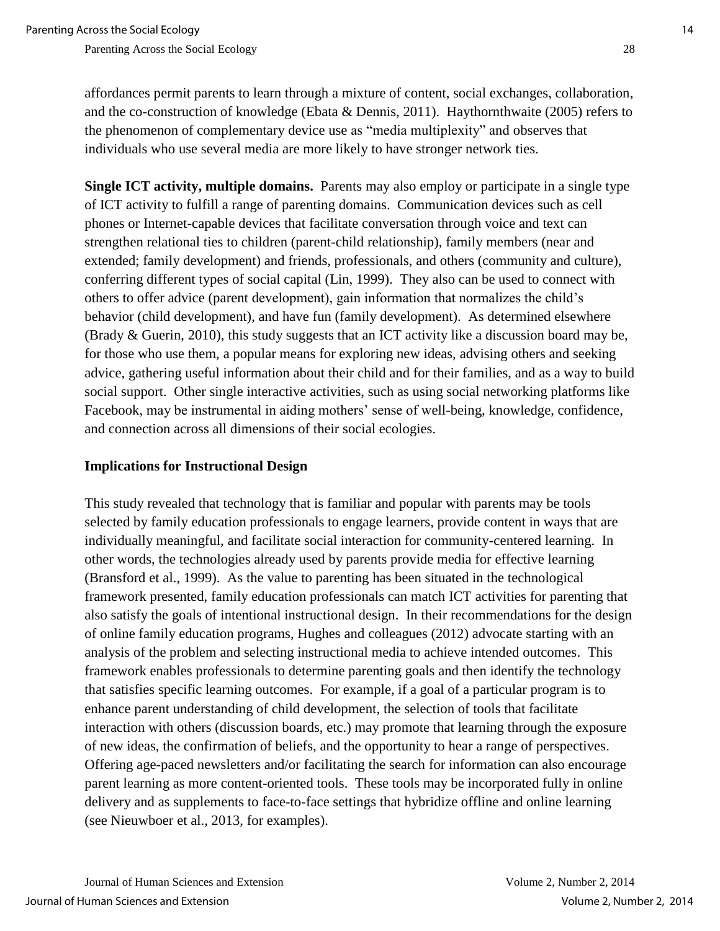individuals who use several media are more likely to have stronger network ties.

**Single ICT activity, multiple domains.** Parents may also employ or participate in a single type of ICT activity to fulfill a range of parenting domains. Communication devices such as cell phones or Internet-capable devices that facilitate conversation through voice and text can strengthen relational ties to children (parent-child relationship), family members (near and extended; family development) and friends, professionals, and others (community and culture), conferring different types of social capital (Lin, 1999). They also can be used to connect with others to offer advice (parent development), gain information that normalizes the child's behavior (child development), and have fun (family development). As determined elsewhere (Brady & Guerin, 2010), this study suggests that an ICT activity like a discussion board may be, for those who use them, a popular means for exploring new ideas, advising others and seeking advice, gathering useful information about their child and for their families, and as a way to build social support. Other single interactive activities, such as using social networking platforms like Facebook, may be instrumental in aiding mothers' sense of well-being, knowledge, confidence, and connection across all dimensions of their social ecologies.

## **Implications for Instructional Design**

This study revealed that technology that is familiar and popular with parents may be tools selected by family education professionals to engage learners, provide content in ways that are individually meaningful, and facilitate social interaction for community-centered learning. In other words, the technologies already used by parents provide media for effective learning (Bransford et al., 1999). As the value to parenting has been situated in the technological framework presented, family education professionals can match ICT activities for parenting that also satisfy the goals of intentional instructional design. In their recommendations for the design of online family education programs, Hughes and colleagues (2012) advocate starting with an analysis of the problem and selecting instructional media to achieve intended outcomes. This framework enables professionals to determine parenting goals and then identify the technology that satisfies specific learning outcomes. For example, if a goal of a particular program is to enhance parent understanding of child development, the selection of tools that facilitate interaction with others (discussion boards, etc.) may promote that learning through the exposure of new ideas, the confirmation of beliefs, and the opportunity to hear a range of perspectives. Offering age-paced newsletters and/or facilitating the search for information can also encourage parent learning as more content-oriented tools. These tools may be incorporated fully in online delivery and as supplements to face-to-face settings that hybridize offline and online learning (see Nieuwboer et al., 2013, for examples).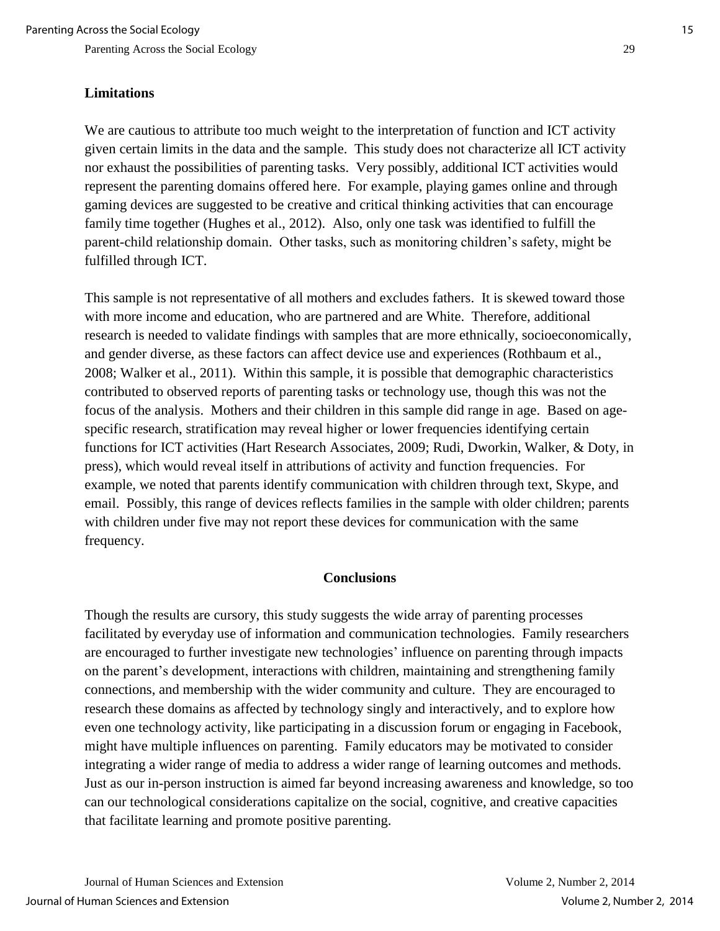### **Limitations**

We are cautious to attribute too much weight to the interpretation of function and ICT activity given certain limits in the data and the sample. This study does not characterize all ICT activity nor exhaust the possibilities of parenting tasks. Very possibly, additional ICT activities would represent the parenting domains offered here. For example, playing games online and through gaming devices are suggested to be creative and critical thinking activities that can encourage family time together (Hughes et al., 2012). Also, only one task was identified to fulfill the parent-child relationship domain. Other tasks, such as monitoring children's safety, might be fulfilled through ICT.

This sample is not representative of all mothers and excludes fathers. It is skewed toward those with more income and education, who are partnered and are White. Therefore, additional research is needed to validate findings with samples that are more ethnically, socioeconomically, and gender diverse, as these factors can affect device use and experiences (Rothbaum et al., 2008; Walker et al., 2011). Within this sample, it is possible that demographic characteristics contributed to observed reports of parenting tasks or technology use, though this was not the focus of the analysis. Mothers and their children in this sample did range in age. Based on agespecific research, stratification may reveal higher or lower frequencies identifying certain functions for ICT activities (Hart Research Associates, 2009; Rudi, Dworkin, Walker, & Doty, in press), which would reveal itself in attributions of activity and function frequencies. For example, we noted that parents identify communication with children through text, Skype, and email. Possibly, this range of devices reflects families in the sample with older children; parents with children under five may not report these devices for communication with the same frequency.

## **Conclusions**

Though the results are cursory, this study suggests the wide array of parenting processes facilitated by everyday use of information and communication technologies. Family researchers are encouraged to further investigate new technologies' influence on parenting through impacts on the parent's development, interactions with children, maintaining and strengthening family connections, and membership with the wider community and culture. They are encouraged to research these domains as affected by technology singly and interactively, and to explore how even one technology activity, like participating in a discussion forum or engaging in Facebook, might have multiple influences on parenting. Family educators may be motivated to consider integrating a wider range of media to address a wider range of learning outcomes and methods. Just as our in-person instruction is aimed far beyond increasing awareness and knowledge, so too can our technological considerations capitalize on the social, cognitive, and creative capacities that facilitate learning and promote positive parenting.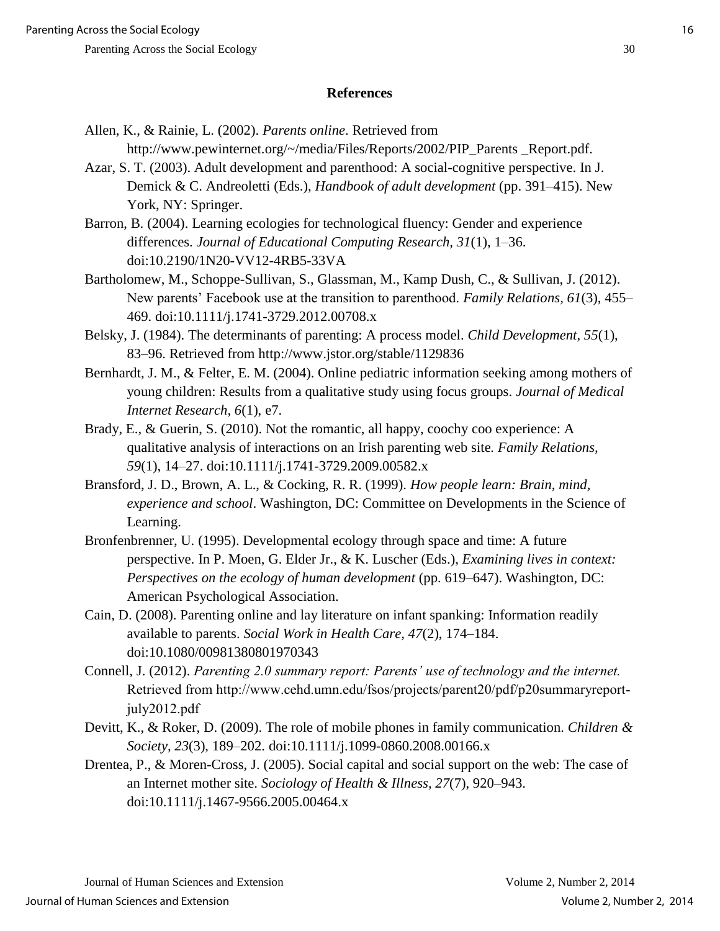#### **References**

- Allen, K., & Rainie, L. (2002). *Parents online*. Retrieved from http://www.pewinternet.org/~/media/Files/Reports/2002/PIP\_Parents \_Report.pdf.
- Azar, S. T. (2003). Adult development and parenthood: A social-cognitive perspective. In J. Demick & C. Andreoletti (Eds.), *Handbook of adult development* (pp. 391–415). New York, NY: Springer.
- Barron, B. (2004). Learning ecologies for technological fluency: Gender and experience differences. *Journal of Educational Computing Research, 31*(1), 1–36. doi:10.2190/1N20-VV12-4RB5-33VA
- Bartholomew, M., Schoppe-Sullivan, S., Glassman, M., Kamp Dush, C., & Sullivan, J. (2012). New parents' Facebook use at the transition to parenthood. *Family Relations, 61*(3), 455– 469. doi:10.1111/j.1741-3729.2012.00708.x
- Belsky, J. (1984). The determinants of parenting: A process model. *Child Development, 55*(1), 83–96. Retrieved from http://www.jstor.org/stable/1129836
- Bernhardt, J. M., & Felter, E. M. (2004). Online pediatric information seeking among mothers of young children: Results from a qualitative study using focus groups. *Journal of Medical Internet Research, 6*(1), e7.
- Brady, E., & Guerin, S. (2010). Not the romantic, all happy, coochy coo experience: A qualitative analysis of interactions on an Irish parenting web site*. Family Relations, 59*(1), 14–27. doi:10.1111/j.1741-3729.2009.00582.x
- Bransford, J. D., Brown, A. L., & Cocking, R. R. (1999). *How people learn: Brain, mind, experience and school*. Washington, DC: Committee on Developments in the Science of Learning.
- Bronfenbrenner, U. (1995). Developmental ecology through space and time: A future perspective. In P. Moen, G. Elder Jr., & K. Luscher (Eds.), *Examining lives in context: Perspectives on the ecology of human development* (pp. 619–647). Washington, DC: American Psychological Association.
- Cain, D. (2008). Parenting online and lay literature on infant spanking: Information readily available to parents. *Social Work in Health Care, 47*(2), 174–184. doi:10.1080/00981380801970343
- Connell, J. (2012). *Parenting 2.0 summary report: Parents' use of technology and the internet.* Retrieved from http://www.cehd.umn.edu/fsos/projects/parent20/pdf/p20summaryreportjuly2012.pdf
- Devitt, K., & Roker, D. (2009). The role of mobile phones in family communication. *Children & Society, 23*(3), 189–202. doi:10.1111/j.1099-0860.2008.00166.x
- Drentea, P., & Moren-Cross, J. (2005). Social capital and social support on the web: The case of an Internet mother site. *Sociology of Health & Illness, 27*(7), 920–943. doi:10.1111/j.1467-9566.2005.00464.x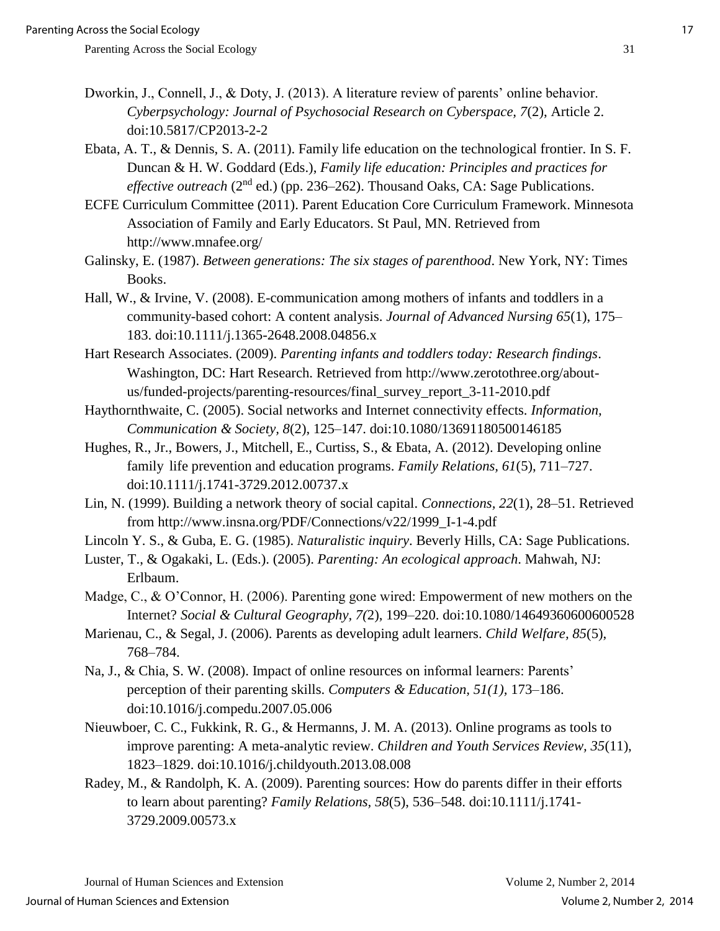- Dworkin, J., Connell, J., & Doty, J. (2013). A literature review of parents' online behavior. *Cyberpsychology: Journal of Psychosocial Research on Cyberspace, 7*(2), Article 2. doi:10.5817/CP2013-2-2
- Ebata, A. T., & Dennis, S. A. (2011). Family life education on the technological frontier. In S. F. Duncan & H. W. Goddard (Eds.), *Family life education: Principles and practices for effective outreach* (2<sup>nd</sup> ed.) (pp. 236–262). Thousand Oaks, CA: Sage Publications.
- ECFE Curriculum Committee (2011). Parent Education Core Curriculum Framework. Minnesota Association of Family and Early Educators. St Paul, MN. Retrieved from http://www.mnafee.org/
- Galinsky, E. (1987). *Between generations: The six stages of parenthood*. New York, NY: Times Books.
- Hall, W., & Irvine, V. (2008). E-communication among mothers of infants and toddlers in a community-based cohort: A content analysis. *Journal of Advanced Nursing 65*(1), 175– 183. doi:10.1111/j.1365-2648.2008.04856.x
- Hart Research Associates. (2009). *Parenting infants and toddlers today: Research findings*. Washington, DC: Hart Research. Retrieved from http://www.zerotothree.org/aboutus/funded-projects/parenting-resources/final\_survey\_report\_3-11-2010.pdf
- Haythornthwaite, C. (2005). Social networks and Internet connectivity effects. *Information, Communication & Society, 8*(2), 125–147. doi:10.1080/13691180500146185
- Hughes, R., Jr., Bowers, J., Mitchell, E., Curtiss, S., & Ebata, A. (2012). Developing online family life prevention and education programs. *Family Relations, 61*(5), 711–727. doi:10.1111/j.1741-3729.2012.00737.x
- Lin, N. (1999). Building a network theory of social capital. *Connections, 22*(1), 28–51. Retrieved from http://www.insna.org/PDF/Connections/v22/1999\_I-1-4.pdf

Lincoln Y. S., & Guba, E. G. (1985). *Naturalistic inquiry*. Beverly Hills, CA: Sage Publications.

- Luster, T., & Ogakaki, L. (Eds.). (2005). *Parenting: An ecological approach*. Mahwah, NJ: Erlbaum.
- Madge, C., & O'Connor, H. (2006). Parenting gone wired: Empowerment of new mothers on the Internet? *Social & Cultural Geography, 7(*2), 199–220. doi:10.1080/14649360600600528
- Marienau, C., & Segal, J. (2006). Parents as developing adult learners. *Child Welfare, 85*(5), 768–784.
- Na, J., & Chia, S. W. (2008). Impact of online resources on informal learners: Parents' perception of their parenting skills. *Computers & Education, 51(1),* 173–186. doi:10.1016/j.compedu.2007.05.006
- Nieuwboer, C. C., Fukkink, R. G., & Hermanns, J. M. A. (2013). Online programs as tools to improve parenting: A meta-analytic review. *Children and Youth Services Review, 35*(11), 1823–1829. doi:10.1016/j.childyouth.2013.08.008
- Radey, M., & Randolph, K. A. (2009). Parenting sources: How do parents differ in their efforts to learn about parenting? *Family Relations, 58*(5), 536–548. doi:10.1111/j.1741- 3729.2009.00573.x